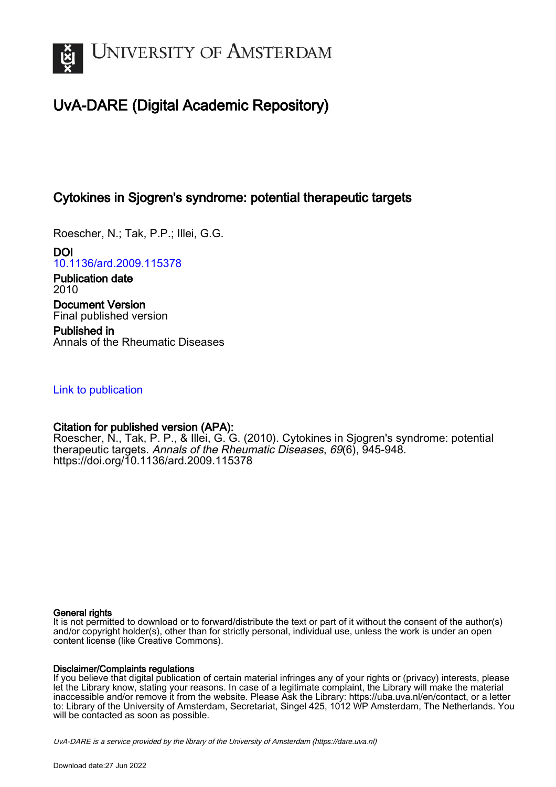

# UvA-DARE (Digital Academic Repository)

# Cytokines in Sjogren's syndrome: potential therapeutic targets

Roescher, N.; Tak, P.P.; Illei, G.G.

DOI [10.1136/ard.2009.115378](https://doi.org/10.1136/ard.2009.115378)

Publication date 2010 Document Version

Final published version

Published in Annals of the Rheumatic Diseases

# [Link to publication](https://dare.uva.nl/personal/pure/en/publications/cytokines-in-sjogrens-syndrome-potential-therapeutic-targets(0c7d06f4-faf2-48a7-896b-fdafeaae8efe).html)

# Citation for published version (APA):

Roescher, N., Tak, P. P., & Illei, G. G. (2010). Cytokines in Sjogren's syndrome: potential therapeutic targets. Annals of the Rheumatic Diseases, 69(6), 945-948. <https://doi.org/10.1136/ard.2009.115378>

## General rights

It is not permitted to download or to forward/distribute the text or part of it without the consent of the author(s) and/or copyright holder(s), other than for strictly personal, individual use, unless the work is under an open content license (like Creative Commons).

## Disclaimer/Complaints regulations

If you believe that digital publication of certain material infringes any of your rights or (privacy) interests, please let the Library know, stating your reasons. In case of a legitimate complaint, the Library will make the material inaccessible and/or remove it from the website. Please Ask the Library: https://uba.uva.nl/en/contact, or a letter to: Library of the University of Amsterdam, Secretariat, Singel 425, 1012 WP Amsterdam, The Netherlands. You will be contacted as soon as possible.

UvA-DARE is a service provided by the library of the University of Amsterdam (http*s*://dare.uva.nl)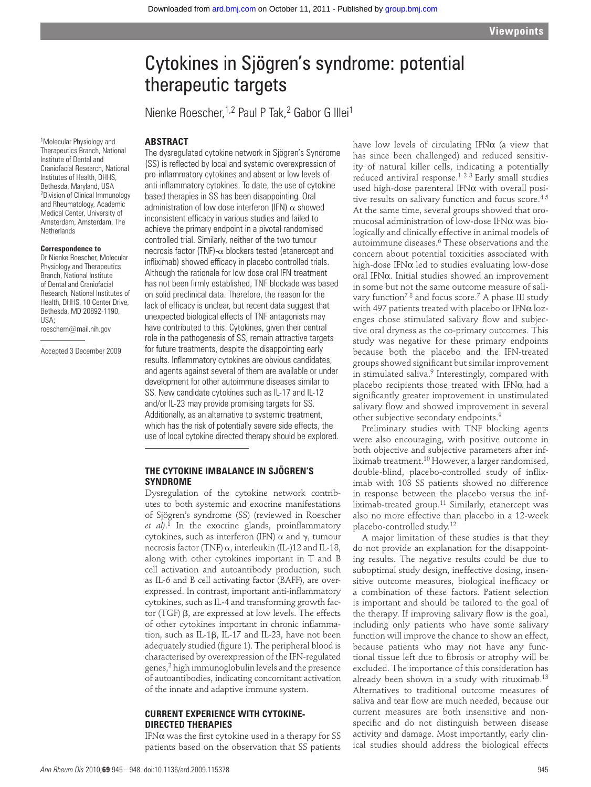# Cytokines in Sjögren's syndrome: potential therapeutic targets

Nienke Roescher, <sup>1,2</sup> Paul P Tak, <sup>2</sup> Gabor G Illei<sup>1</sup>

#### **ABSTRACT**

<sup>1</sup>Molecular Physiology and Therapeutics Branch, National Institute of Dental and Craniofacial Research, National Institutes of Health, DHHS, Bethesda, Maryland, USA 2 Division of Clinical Immunology and Rheumatology, Academic Medical Center, University of Amsterdam, Amsterdam, The **Netherlands** 

#### **Correspondence to**

Dr Nienke Roescher, Molecular Physiology and Therapeutics Branch, National Institute of Dental and Craniofacial Research, National Institutes of Health, DHHS, 10 Center Drive, Bethesda, MD 20892-1190, USA;

roeschern@mail.nih.gov

Accepted 3 December 2009

The dysregulated cytokine network in Sjögren's Syndrome (SS) is reflected by local and systemic overexpression of pro-inflammatory cytokines and absent or low levels of anti-inflammatory cytokines. To date, the use of cytokine based therapies in SS has been disappointing. Oral administration of low dose interferon (IFN)  $\alpha$  showed inconsistent efficacy in various studies and failed to achieve the primary endpoint in a pivotal randomised controlled trial. Similarly, neither of the two tumour necrosis factor (TNF)- $\alpha$  blockers tested (etanercept and infliximab) showed efficacy in placebo controlled trials. Although the rationale for low dose oral IFN treatment has not been firmly established, TNF blockade was based on solid preclinical data. Therefore, the reason for the lack of efficacy is unclear, but recent data suggest that unexpected biological effects of TNF antagonists may have contributed to this. Cytokines, given their central role in the pathogenesis of SS, remain attractive targets for future treatments, despite the disappointing early results. Inflammatory cytokines are obvious candidates, and agents against several of them are available or under development for other autoimmune diseases similar to SS. New candidate cytokines such as IL-17 and IL-12 and/or IL-23 may provide promising targets for SS. Additionally, as an alternative to systemic treatment, which has the risk of potentially severe side effects, the use of local cytokine directed therapy should be explored.

## **THE CYTOKINE IMBALANCE IN SJÖGREN'S SYNDROME**

Dysregulation of the cytokine network contributes to both systemic and exocrine manifestations of Sjögren's syndrome (SS) (reviewed in Roescher et al).<sup>1</sup> In the exocrine glands, proinflammatory cytokines, such as interferon (IFN) α and γ, tumour necrosis factor (TNF) α, interleukin (IL-)12 and IL-18, along with other cytokines important in T and B cell activation and autoantibody production, such as IL-6 and B cell activating factor (BAFF), are overexpressed. In contrast, important anti-inflammatory cytokines, such as IL-4 and transforming growth factor (TGF) β, are expressed at low levels. The effects of other cytokines important in chronic inflammation, such as IL-1β, IL-17 and IL-23, have not been adequately studied (figure 1). The peripheral blood is characterised by overexpression of the IFN-regulated genes,2 high immunoglobulin levels and the presence of autoantibodies, indicating concomitant activation of the innate and adaptive immune system.

## **CURRENT EXPERIENCE WITH CYTOKINE-DIRECTED THERAPIES**

IFN $\alpha$  was the first cytokine used in a therapy for SS patients based on the observation that SS patients have low levels of circulating IFN $\alpha$  (a view that has since been challenged) and reduced sensitivity of natural killer cells, indicating a potentially reduced antiviral response.1 2 3 Early small studies used high-dose parenteral IFN $\alpha$  with overall positive results on salivary function and focus score.<sup>45</sup> At the same time, several groups showed that oromucosal administration of low-dose IFNα was biologically and clinically effective in animal models of autoimmune diseases.6 These observations and the concern about potential toxicities associated with high-dose IFN $\alpha$  led to studies evaluating low-dose oral IFNα. Initial studies showed an improvement in some but not the same outcome measure of salivary function<sup>78</sup> and focus score.<sup>7</sup> A phase III study with 497 patients treated with placebo or IFNα lozenges chose stimulated salivary flow and subjective oral dryness as the co-primary outcomes. This study was negative for these primary endpoints because both the placebo and the IFN-treated groups showed significant but similar improvement in stimulated saliva.<sup>9</sup> Interestingly, compared with placebo recipients those treated with IFN $\alpha$  had a significantly greater improvement in unstimulated salivary flow and showed improvement in several other subjective secondary endpoints.9

Preliminary studies with TNF blocking agents were also encouraging, with positive outcome in both objective and subjective parameters after infliximab treatment.10 However, a larger randomised, double-blind, placebo-controlled study of infliximab with 103 SS patients showed no difference in response between the placebo versus the infliximab-treated group.<sup>11</sup> Similarly, etanercept was also no more effective than placebo in a 12-week placebo-controlled study.<sup>12</sup>

A major limitation of these studies is that they do not provide an explanation for the disappointing results. The negative results could be due to suboptimal study design, ineffective dosing, insensitive outcome measures, biological inefficacy or a combination of these factors. Patient selection is important and should be tailored to the goal of the therapy. If improving salivary flow is the goal, including only patients who have some salivary function will improve the chance to show an effect, because patients who may not have any functional tissue left due to fibrosis or atrophy will be excluded. The importance of this consideration has already been shown in a study with rituximab.13 Alternatives to traditional outcome measures of saliva and tear flow are much needed, because our current measures are both insensitive and nonspecific and do not distinguish between disease activity and damage. Most importantly, early clinical studies should address the biological effects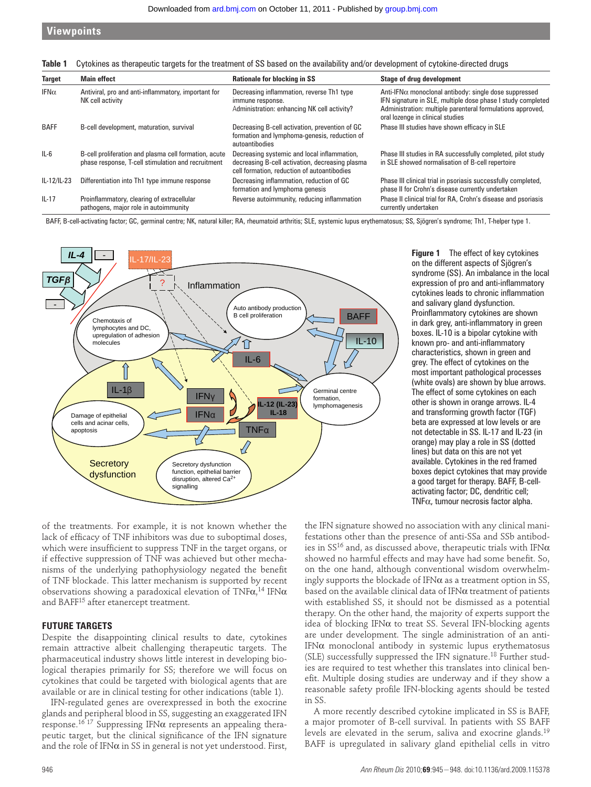### **Viewpoints**

|  |  | Table 1 Cytokines as therapeutic targets for the treatment of SS based on the availability and/or development of cytokine-directed drugs |  |  |  |  |  |  |  |  |
|--|--|------------------------------------------------------------------------------------------------------------------------------------------|--|--|--|--|--|--|--|--|
|--|--|------------------------------------------------------------------------------------------------------------------------------------------|--|--|--|--|--|--|--|--|

| <b>Target</b> | <b>Main effect</b>                                                                                          | <b>Rationale for blocking in SS</b>                                                                                                           | <b>Stage of drug development</b>                                                                                                                                                                                               |
|---------------|-------------------------------------------------------------------------------------------------------------|-----------------------------------------------------------------------------------------------------------------------------------------------|--------------------------------------------------------------------------------------------------------------------------------------------------------------------------------------------------------------------------------|
| IFN $\alpha$  | Antiviral, pro and anti-inflammatory, important for<br>NK cell activity                                     | Decreasing inflammation, reverse Th1 type<br>immune response.<br>Administration: enhancing NK cell activity?                                  | Anti-IFN $\alpha$ monoclonal antibody: single dose suppressed<br>IFN signature in SLE, multiple dose phase I study completed<br>Administration: multiple parenteral formulations approved,<br>oral lozenge in clinical studies |
| <b>BAFF</b>   | B-cell development, maturation, survival                                                                    | Decreasing B-cell activation, prevention of GC<br>formation and lymphoma-genesis, reduction of<br>autoantibodies                              | Phase III studies have shown efficacy in SLE                                                                                                                                                                                   |
| $IL-6$        | B-cell proliferation and plasma cell formation, acute<br>phase response, T-cell stimulation and recruitment | Decreasing systemic and local inflammation,<br>decreasing B-cell activation, decreasing plasma<br>cell formation, reduction of autoantibodies | Phase III studies in RA successfully completed, pilot study<br>in SLE showed normalisation of B-cell repertoire                                                                                                                |
| $IL-12/IL-23$ | Differentiation into Th1 type immune response                                                               | Decreasing inflammation, reduction of GC<br>formation and lymphoma genesis                                                                    | Phase III clinical trial in psoriasis successfully completed,<br>phase II for Crohn's disease currently undertaken                                                                                                             |
| $IL-17$       | Proinflammatory, clearing of extracellular<br>pathogens, major role in autoimmunity                         | Reverse autoimmunity, reducing inflammation                                                                                                   | Phase II clinical trial for RA, Crohn's disease and psoriasis<br>currently undertaken                                                                                                                                          |

BAFF, B-cell-activating factor; GC, germinal centre; NK, natural killer; RA, rheumatoid arthritis; SLE, systemic lupus erythematosus; SS, Sjögren's syndrome; Th1, T-helper type 1.



**Figure 1** The effect of key cytokines on the different aspects of Sjögren's syndrome (SS). An imbalance in the local expression of pro and anti-inflammatory cytokines leads to chronic inflammation and salivary gland dysfunction. Proinflammatory cytokines are shown in dark grey, anti-inflammatory in green boxes. IL-10 is a bipolar cytokine with known pro- and anti-inflammatory characteristics, shown in green and grey. The effect of cytokines on the most important pathological processes (white ovals) are shown by blue arrows. The effect of some cytokines on each other is shown in orange arrows. IL-4 and transforming growth factor (TGF) beta are expressed at low levels or are not detectable in SS. IL-17 and IL-23 (in orange) may play a role in SS (dotted lines) but data on this are not yet available. Cytokines in the red framed boxes depict cytokines that may provide a good target for therapy. BAFF, B-cellactivating factor; DC, dendritic cell; TNF $\alpha$ , tumour necrosis factor alpha.

of the treatments. For example, it is not known whether the lack of efficacy of TNF inhibitors was due to suboptimal doses, which were insufficient to suppress TNF in the target organs, or if effective suppression of TNF was achieved but other mechanisms of the underlying pathophysiology negated the benefit of TNF blockade. This latter mechanism is supported by recent observations showing a paradoxical elevation of  $\text{TNF}\alpha$ ,<sup>14</sup> IFN $\alpha$ and BAFF15 after etanercept treatment.

## **FUTURE TARGETS**

Despite the disappointing clinical results to date, cytokines remain attractive albeit challenging therapeutic targets. The pharmaceutical industry shows little interest in developing biological therapies primarily for SS; therefore we will focus on cytokines that could be targeted with biological agents that are available or are in clinical testing for other indications (table 1).

IFN-regulated genes are overexpressed in both the exocrine glands and peripheral blood in SS, suggesting an exaggerated IFN response.<sup>16 17</sup> Suppressing IFNα represents an appealing therapeutic target, but the clinical significance of the IFN signature and the role of IFN $\alpha$  in SS in general is not yet understood. First,

the IFN signature showed no association with any clinical manifestations other than the presence of anti-SSa and SSb antibodies in SS<sup>16</sup> and, as discussed above, therapeutic trials with IFN $\alpha$ showed no harmful effects and may have had some benefit. So, on the one hand, although conventional wisdom overwhelmingly supports the blockade of IFN $\alpha$  as a treatment option in SS, based on the available clinical data of IFNα treatment of patients with established SS, it should not be dismissed as a potential therapy. On the other hand, the majority of experts support the idea of blocking IFN $\alpha$  to treat SS. Several IFN-blocking agents are under development. The single administration of an anti-IFNα monoclonal antibody in systemic lupus erythematosus (SLE) successfully suppressed the IFN signature.<sup>18</sup> Further studies are required to test whether this translates into clinical benefit. Multiple dosing studies are underway and if they show a reasonable safety profile IFN-blocking agents should be tested in SS.

A more recently described cytokine implicated in SS is BAFF, a major promoter of B-cell survival. In patients with SS BAFF levels are elevated in the serum, saliva and exocrine glands.19 BAFF is upregulated in salivary gland epithelial cells in vitro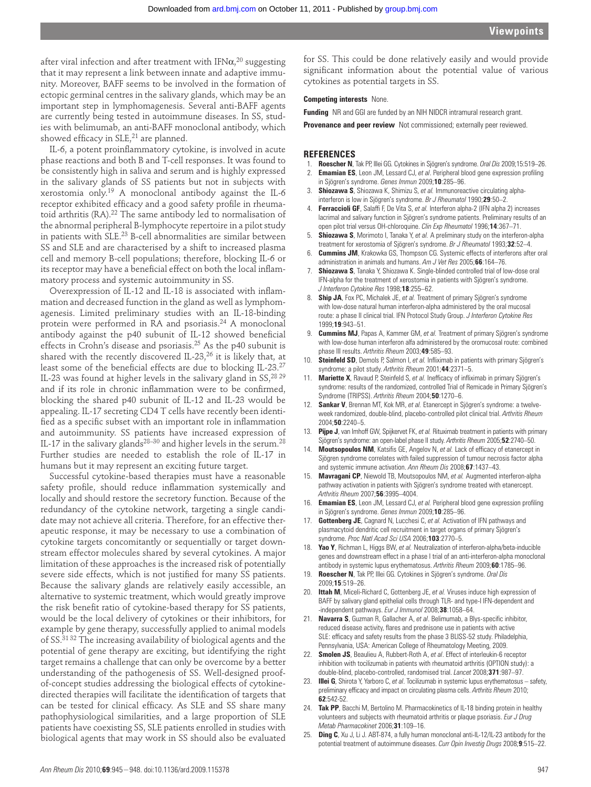after viral infection and after treatment with IFN $\alpha$ , $^{20}$  suggesting that it may represent a link between innate and adaptive immunity. Moreover, BAFF seems to be involved in the formation of ectopic germinal centres in the salivary glands, which may be an important step in lymphomagenesis. Several anti-BAFF agents are currently being tested in autoimmune diseases. In SS, studies with belimumab, an anti-BAFF monoclonal antibody, which showed efficacy in  $SLE<sup>21</sup>$  are planned.

IL-6, a potent proinflammatory cytokine, is involved in acute phase reactions and both B and T-cell responses. It was found to be consistently high in saliva and serum and is highly expressed in the salivary glands of SS patients but not in subjects with xerostomia only.19 A monoclonal antibody against the IL-6 receptor exhibited efficacy and a good safety profile in rheumatoid arthritis (RA).22 The same antibody led to normalisation of the abnormal peripheral B-lymphocyte repertoire in a pilot study in patients with SLE.23 B-cell abnormalities are similar between SS and SLE and are characterised by a shift to increased plasma cell and memory B-cell populations; therefore, blocking IL-6 or its receptor may have a beneficial effect on both the local inflammatory process and systemic autoimmunity in SS.

Overexpression of IL-12 and IL-18 is associated with inflammation and decreased function in the gland as well as lymphomagenesis. Limited preliminary studies with an IL-18-binding protein were performed in RA and psoriasis.24 A monoclonal antibody against the p40 subunit of IL-12 showed beneficial effects in Crohn's disease and psoriasis.25 As the p40 subunit is shared with the recently discovered IL-23, $^{26}$  it is likely that, at least some of the beneficial effects are due to blocking IL-23.<sup>27</sup> IL-23 was found at higher levels in the salivary gland in SS,<sup>28 29</sup> and if its role in chronic inflammation were to be confirmed, blocking the shared p40 subunit of IL-12 and IL-23 would be appealing. IL-17 secreting CD4 T cells have recently been identified as a specific subset with an important role in inflammation and autoimmunity. SS patients have increased expression of IL-17 in the salivary glands<sup>28–30</sup> and higher levels in the serum.<sup>28</sup> Further studies are needed to establish the role of IL-17 in humans but it may represent an exciting future target.

Successful cytokine-based therapies must have a reasonable safety profile, should reduce inflammation systemically and locally and should restore the secretory function. Because of the redundancy of the cytokine network, targeting a single candidate may not achieve all criteria. Therefore, for an effective therapeutic response, it may be necessary to use a combination of cytokine targets concomitantly or sequentially or target downstream effector molecules shared by several cytokines. A major limitation of these approaches is the increased risk of potentially severe side effects, which is not justified for many SS patients. Because the salivary glands are relatively easily accessible, an alternative to systemic treatment, which would greatly improve the risk benefit ratio of cytokine-based therapy for SS patients, would be the local delivery of cytokines or their inhibitors, for example by gene therapy, successfully applied to animal models of SS.31 32 The increasing availability of biological agents and the potential of gene therapy are exciting, but identifying the right target remains a challenge that can only be overcome by a better understanding of the pathogenesis of SS. Well-designed proofof-concept studies addressing the biological effects of cytokinedirected therapies will facilitate the identification of targets that can be tested for clinical efficacy. As SLE and SS share many pathophysiological similarities, and a large proportion of SLE patients have coexisting SS, SLE patients enrolled in studies with biological agents that may work in SS should also be evaluated

for SS. This could be done relatively easily and would provide significant information about the potential value of various cytokines as potential targets in SS.

**Competing interests** None.

**Funding** NR and GGI are funded by an NIH NIDCR intramural research grant.

**Provenance and peer review** Not commissioned; externally peer reviewed.

#### **REFERENCES**

- 1. **Roescher N**, Tak PP, Illei GG. Cytokines in Sjögren's syndrome. *Oral Dis* 2009;15:519–26.
- 2. **Emamian ES**, Leon JM, Lessard CJ, et al. Peripheral blood gene expression profiling in Sjögren's syndrome. *Genes Immun* 2009;**10**:285–96.
- 3. **Shiozawa S**, Shiozawa K, Shimizu S, *et al.* Immunoreactive circulating alphainterferon is low in Sjögren's syndrome. *Br J Rheumatol* 1990;**29**:50–2.
- 4. **Ferraccioli GF**, Salaffi F, De Vita S, *et al.* Interferon alpha-2 (IFN alpha 2) increases lacrimal and salivary function in Sjögren's syndrome patients. Preliminary results of an open pilot trial versus OH-chloroquine. *Clin Exp Rheumatol* 1996;**14**:367–71.
- 5. **Shiozawa S**, Morimoto I, Tanaka Y, *et al.* A preliminary study on the interferon-alpha treatment for xerostomia of Sjögren's syndrome. *Br J Rheumatol* 1993;**32**:52–4.
- 6. **Cummins JM**, Krakowka GS, Thompson CG. Systemic effects of interferons after oral administration in animals and humans. *Am J Vet Res* 2005;**66**:164–76.
- 7. **Shiozawa S**, Tanaka Y, Shiozawa K. Single-blinded controlled trial of low-dose oral IFN-alpha for the treatment of xerostomia in patients with Sjögren's syndrome. *J Interferon Cytokine Res* 1998;**18**:255–62.
- 8. **Ship JA**, Fox PC, Michalek JE, *et al.* Treatment of primary Sjögren's syndrome with low-dose natural human interferon-alpha administered by the oral mucosal route: a phase II clinical trial. IFN Protocol Study Group. *J Interferon Cytokine Res* 1999;**19**:943–51.
- 9. **Cummins MJ**, Papas A, Kammer GM, *et al.* Treatment of primary Sjögren's syndrome with low-dose human interferon alfa administered by the oromucosal route: combined phase III results. *Arthritis Rheum* 2003;**49**:585–93.
- 10. **Steinfeld SD**, Demols P, Salmon I, *et al.* Infliximab in patients with primary Sjögren's syndrome: a pilot study. *Arthritis Rheum* 2001;**44**:2371–5.
- 11. **Mariette X**, Ravaud P, Steinfeld S, et al. Inefficacy of infliximab in primary Sjögren's syndrome: results of the randomized, controlled Trial of Remicade in Primary Sjögren's Syndrome (TRIPSS). *Arthritis Rheum* 2004;**50**:1270–6.
- 12. **Sankar V**, Brennan MT, Kok MR, *et al.* Etanercept in Sjögren's syndrome: a twelveweek randomized, double-blind, placebo-controlled pilot clinical trial. *Arthritis Rheum* 2004;**50**:2240–5.
- 13. **Pijpe J**, van Imhoff GW, Spijkervet FK, *et al.* Rituximab treatment in patients with primary Sjögren's syndrome: an open-label phase II study. *Arthritis Rheum* 2005;**52**:2740–50.
- 14. **Moutsopoulos NM**, Katsifis GE, Angelov N, et al. Lack of efficacy of etanercept in Sjögren syndrome correlates with failed suppression of tumour necrosis factor alpha and systemic immune activation. *Ann Rheum Dis* 2008;**67**:1437–43.
- 15. **Mavragani CP**, Niewold TB, Moutsopoulos NM, *et al.* Augmented interferon-alpha pathway activation in patients with Sjögren's syndrome treated with etanercept. *Arthritis Rheum* 2007;**56**:3995–4004.
- 16. **Emamian ES**, Leon JM, Lessard CJ, et al. Peripheral blood gene expression profiling in Sjögren's syndrome. *Genes Immun* 2009;**10**:285–96.
- 17. **Gottenberg JE**, Cagnard N, Lucchesi C, *et al.* Activation of IFN pathways and plasmacytoid dendritic cell recruitment in target organs of primary Sjögren's syndrome. *Proc Natl Acad Sci USA* 2006;**103**:2770–5.
- 18. **Yao Y**, Richman L, Higgs BW, *et al.* Neutralization of interferon-alpha/beta-inducible genes and downstream effect in a phase I trial of an anti-interferon-alpha monoclonal antibody in systemic lupus erythematosus. *Arthritis Rheum* 2009;**60**:1785–96.
- 19. **Roescher N**, Tak PP, Illei GG. Cytokines in Sjögren's syndrome. *Oral Dis* 2009;**15**:519–26.
- 20. **Ittah M**, Miceli-Richard C, Gottenberg JE, *et al.* Viruses induce high expression of BAFF by salivary gland epithelial cells through TLR- and type-I IFN-dependent and -independent pathways. *Eur J Immunol* 2008;**38**:1058–64.
- 21. **Navarra S**, Guzman R, Gallacher A, et al. Belimumab, a Blys-specific inhibitor, reduced disease activity, flares and prednisone use in patients with active SLE: efficacy and safety results from the phase 3 BLISS-52 study. Philadelphia, Pennsylvania, USA: American College of Rheumatology Meeting, 2009.
- 22. **Smolen JS**, Beaulieu A, Rubbert-Roth A, *et al*. Effect of interleukin-6 receptor inhibition with tocilizumab in patients with rheumatoid arthritis (OPTION study): a double-blind, placebo-controlled, randomised trial. *Lancet* 2008;**371**:987–97.
- 23. **Illei G**, Shirota Y, Yarboro C, *et al*. Tocilizumab in systemic lupus erythematosus safety, preliminary efficacy and impact on circulating plasma cells. Arthritis Rheum 2010; **62**:542-52.
- 24. **Tak PP**, Bacchi M, Bertolino M. Pharmacokinetics of IL-18 binding protein in healthy volunteers and subjects with rheumatoid arthritis or plaque psoriasis. *Eur J Drug Metab Pharmacokinet* 2006;**31**:109–16.
- 25. **Ding C**, Xu J, Li J. ABT-874, a fully human monoclonal anti-IL-12/IL-23 antibody for the potential treatment of autoimmune diseases. *Curr Opin Investig Drugs* 2008;**9**:515–22.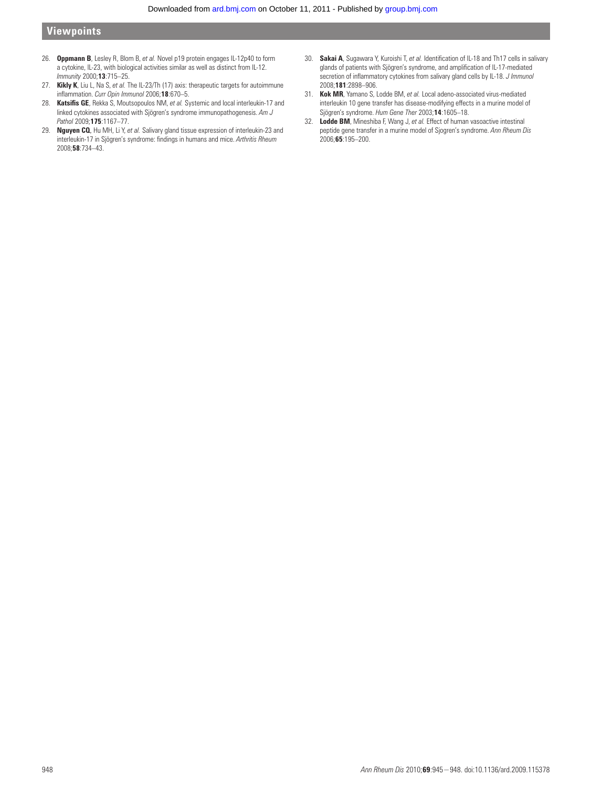# **Viewpoints**

- 26. **Oppmann B**, Lesley R, Blom B, *et al.* Novel p19 protein engages IL-12p40 to form a cytokine, IL-23, with biological activities similar as well as distinct from IL-12. *Immunity* 2000;**13**:715–25.
- 27. **Kikly K**, Liu L, Na S, *et al.* The IL-23/Th (17) axis: therapeutic targets for autoimmune infl ammation. *Curr Opin Immunol* 2006;**18**:670–5.
- 28. **Katsifis GE**, Rekka S, Moutsopoulos NM, et al. Systemic and local interleukin-17 and linked cytokines associated with Sjögren's syndrome immunopathogenesis. *Am J Pathol* 2009;**175**:1167–77.
- 29. **Nguyen CQ**, Hu MH, Li Y, *et al.* Salivary gland tissue expression of interleukin-23 and interleukin-17 in Sjögren's syndrome: findings in humans and mice. Arthritis Rheum 2008;**58**:734–43.
- 30. **Sakai A**, Sugawara Y, Kuroishi T, et al. Identification of IL-18 and Th17 cells in salivary glands of patients with Sjögren's syndrome, and amplification of IL-17-mediated secretion of inflammatory cytokines from salivary gland cells by IL-18. *J Immunol* 2008;**181**:2898–906.
- 31. **Kok MR**, Yamano S, Lodde BM, *et al.* Local adeno-associated virus-mediated interleukin 10 gene transfer has disease-modifying effects in a murine model of Sjögren's syndrome. *Hum Gene Ther* 2003;**14**:1605–18.
- 32. **Lodde BM**, Mineshiba F, Wang J, *et al.* Effect of human vasoactive intestinal peptide gene transfer in a murine model of Sjogren's syndrome. *Ann Rheum Dis* 2006;**65**:195–200.